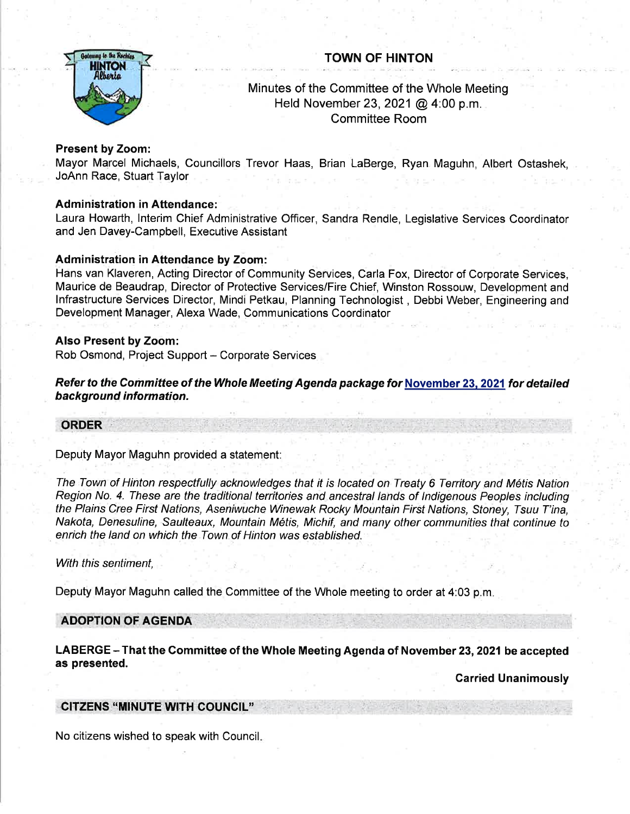# TOWN OF HINTON



# Minutes of the Committee of the Whole Meeting Held November 23,2021 @ 4:00 p.m. Committee Room

## Present by Zoom:

Mayor Marcel Michaels, Councillors Trevor Haas, Brian LaBerge, Ryan Maguhn, Albert Ostashek, JoAnn Race, Stuart Taylor

## Administration in Aftendance:

Laura Howarth, lnterim Chief Administrative Officer, Sandra Rendle, Legislative Services Coordinator and Jen Davey-Campbell, Executive Assistant

## Administration in Attendance by Zoom:

Hans van Klaveren, Acting Director of Community Services, Carla Fox, Director of Corporate Services, Maurice de Beaudrap, Director of Protective Services/Fire Chief, Winston Rossouw, Development and lnfrastructure Services Director, Mindi Petkau, Planning Technologist , Debbi Weber, Engineering and Development Manager, Alexa Wade, Communications Coordinator

### Also Present by Zoom:

Rob Osmond, Project Support - Corporate Services

Refer to the Committee of the Whole Meeting Agenda package for November 23. 2021 for detailed background information.

### ORDER

### Deputy Mayor Maguhn provided a statement:

The Town of Hinton respectfully acknowledges that it is located on Treaty 6 Territory and Métis Nation Region No. 4. These are the traditional territories and ancestral lands of Indigenous Peoples including the Plains Cree First Nations, Aseniwuche Winewak Rocky Mountain First Nations, Stoney, Tsuu T'ina, Nakota, Denesuline, Saulteaux, Mountain Métis, Michif, and many other communities that continue to enrich the land on which the Town of Hinton was established.

### With this sentiment,

Deputy Mayor Maguhn called the Committee of the Whole meeting to order at 4:03 p.m

### ADOPTION OF AGENDA

LABERGE - That the Committee of the Whole Meeting Agenda of November 23, 2021 be accepted as presented.

**Carried Unanimously** 

## CITZENS "MINUTE WITH COUNCIL"

No citizens wished to speak with Council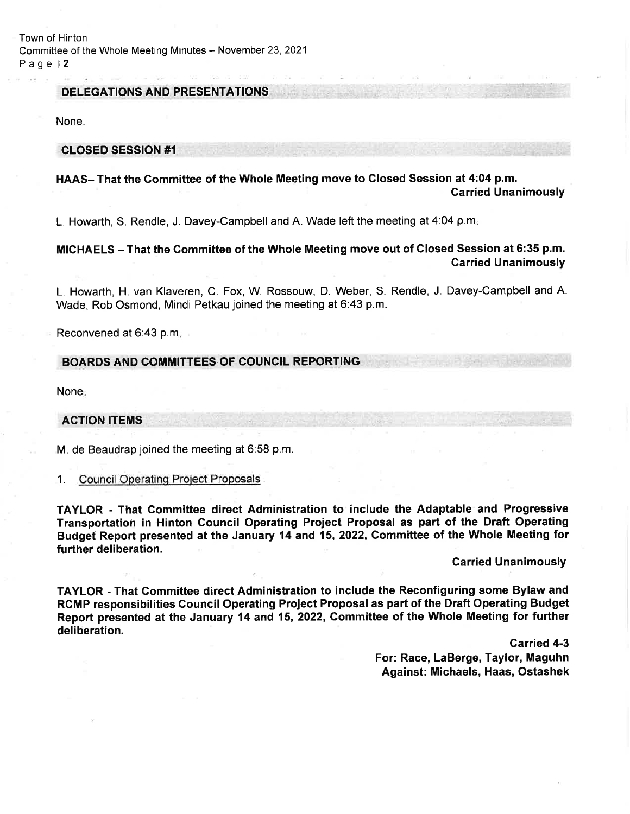Town of Hinton Committee of the Whole Meeting Minutes - November 23, 2021 Page l2

### DELEGATIONS AND PRESENTATIONS

None.

#### CLOSED SESSION #1

### HAAS- That the Gommittee of the Whole Meeting move to Closed Session at 4:04 p.m. Garried Unanimously

L. Howarth, S. Rendle, J. Davey-Campbell and A. Wade left the meeting at 4:04 p.m

## MICHAELS - That the Gommittee of the Whole Meeting move out of Closed Session at 6:35 p.m. Garried Unanimously

L. Howarth, H. van Klaveren, C. Fox, W. Rossouw, D. Weber, S. Rendle, J. Davey-Campbell and A. Wade, Rob Osmond, Mindi Petkau joined the meeting at 6:43 p.m.

Reconvened at 6:43 p.m

### BOARDS AND COMMITTEES OF COUNCIL REPORTING

None

### ACTION ITEMS

M. de Beaudrap joined the meeting at 6:58 p.m.

1. Council Operatinq Proiect Proposals

TAYLOR - That Gommittee direct Administration to include the Adaptable and Progressive Transportation in Hinton Gouncil Operating Project Proposal as part of the Draft Operating Budget Report presented at the January 14 and 15, 2022, Committee of the Whole Meeting for further deliberation.

## **Carried Unanimously**

TAYLOR - That Gommittee direct Administration to include the Reconfiguring some Bylaw and RCMP responsibilities Council Operating Project Proposal as part of the Draft Operating Budget Report presented at the January 14 and 15, 2022, Gommittee of the Whole Meeting for further deliberation.

> Garried 4-3 For: Race, LaBerge, Taylor, Maguhn Against: Michaels, Haas, Ostashek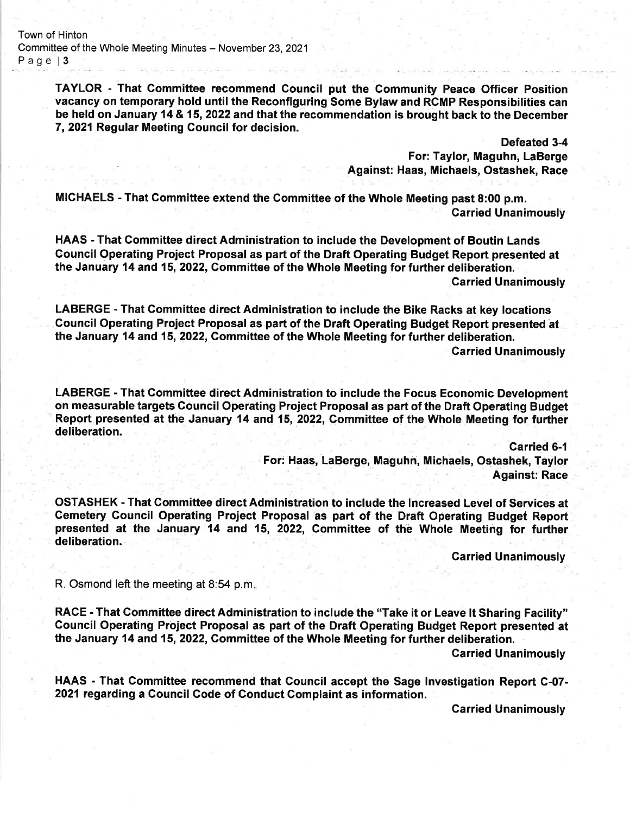Town of Hinton Committee of the Whole Meeting Minutes - November 23, 2021 Page | 3

> TAYLOR - That Gommittee recommend Gouncil put the Community Peace Officer Position vacancy on temporary hold until the Reconfiguring Some Bylaw and RCMP Responsibilities can be held on January 14 & 15,2022 and that the recommendation is brought back to the December 7, 2021 Regular Meeting Council for decision.

> > Defeated 3-4

Against: Haas, Michaels, Ostash "'i,?,i13!

MICHAELS - That Committee extend the Gommittee of the Whole Meeting past 8:00 p.m. **Carried Unanimously** 

HAAS - That Committee direct Administration to include the Development of Boutin Lands Gouncit Operating Project Proposal as part of the Draft Operating Budget Report presented at the January 14 and 15,2022, Committee of the Whole Meeting for further deliberation.

Garried Unanimously

LABERGE - That Gommittee direct Administration to include the Bike Racks at key locations Council Operating Project Proposal as part of the Draft Operating Budget Report presented at the January 14 and 15,2022, Gommittee of the Whole Meeting for further deliberation.

Carried Unanimously

LABERGE - That Gommittee direct Administration to include the Focus Economic Development on measurable targets Council Operating Project Proposal as part of the Draft Operating Budget Report presented at the January 14 and 15, 2022, Committee of the Whole Meeting for further deliberation.

Garried 6-l

For: Haas, LaBerge, Maguhn, Michaels, Ostashek, Taylor **Against: Race** 

OSTASHEK - That Commiftee direct Administration to include the lncreased Level of Services at Gemetery Council Operating Project Proposal as part of the Draft Operating Budget Report presented at the January 14 and 15, 2022, Gommittee of the Whole Meeting for further deliberation.

Carried Unanimously

R. Osmond left the meeting at 8:54 p.m

RACE - That Gommittee direct Administration to include the "Take it or Leave lt Sharing Facility" Council Operating Project Proposal as part of the Draft Operating Budget Report presented at the January 14 and 15, 2022, Committee of the Whole Meeting for further deliberation.

Garried Unanimously

HAAS - That Committee recommend that Council accept the Sage lnvestigation Report C-07- 2021 regarding a Council Gode of Conduct Gomplaint as information.

Garried Unanimously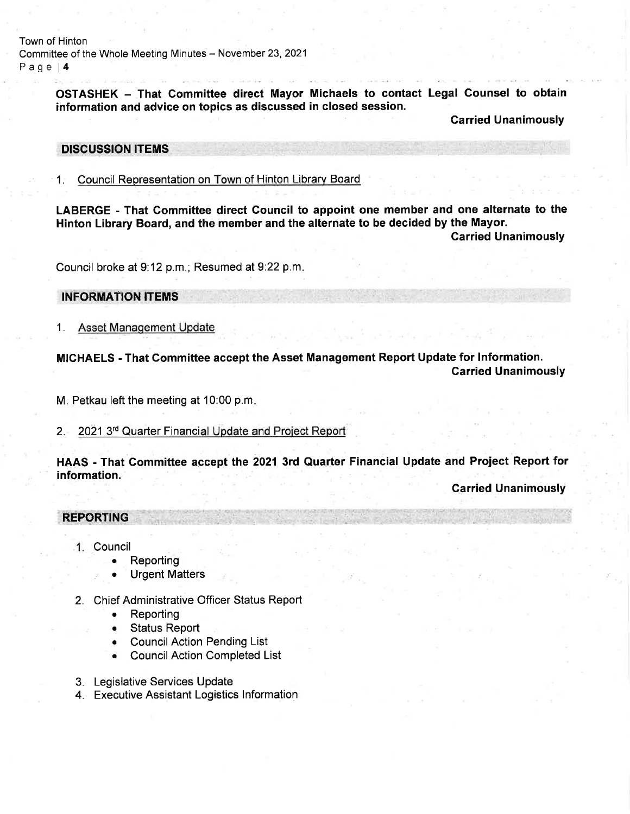Town of Hinton Committee of the Whole Meeting Minutes - November 23, 2021 Page l4

> OSTASHEK - That Committee direct Mayor Michaels to contact Legal Counsel to obtain information and advice on topics as discussed in closed session.

> > Carried Unanimously

### DISCUSSION ITEMS

1. Council Representation on Town of Hinton Library Board

LABERGE - That Committee direct Council to appoint one member and one alternate to the Hinton Library Board, and the member and the alternate to be decided by the Mayor.

Carried Unanimously

Council broke at 9:12 p.m.; Resumed at 9:22 p.m.

## INFORMATION ITEMS

1. Asset Manaqement Update

MICHAELS - That Committee accept the Asset Management Report Update for lnformation. Garried Unanimously

M. Petkau left the meeting at 10:00 p.m

2. 2021 3<sup>rd</sup> Quarter Financial Update and Project Report

HAAS - That Gommiftee accept the 2021 3rd Quarter Financial Update and Project Report for information.

## Garried Unanimously

## REPORTING

- Council
	- . Reporting
	- . Urgent Matters
- 2. Chief Administrative Officer Status Report
	- Reporting
	- . Status Report
	- Council Action Pending List
	- Council Action Completed List
- 3. Legislative Services Update
- 4. Executive Assistant Logistics lnformation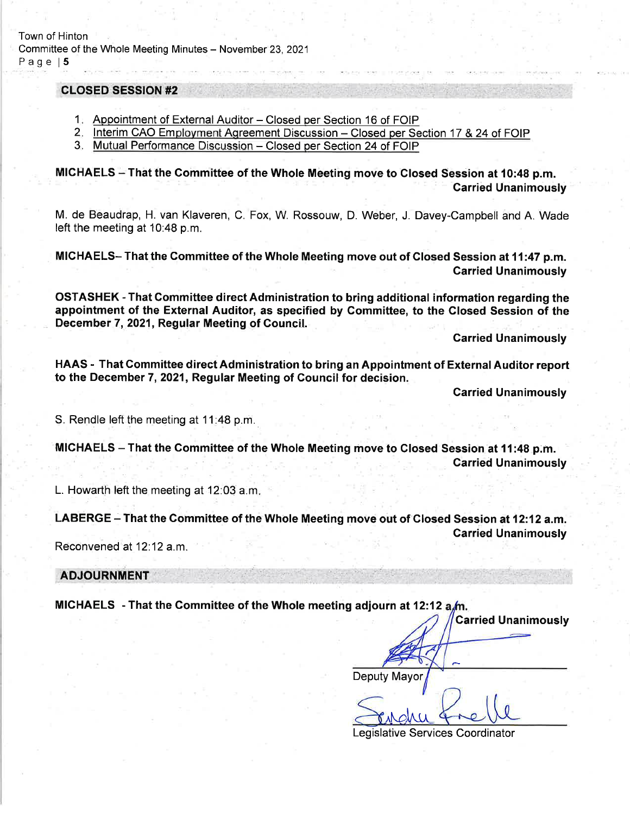#### **CLOSED SESSION #2**

- 1. Appointment of External Auditor Closed per Section 16 of FOIP
- 2. Interim CAO Employment Agreement Discussion Closed per Section 17 & 24 of FOIP
- 3. Mutual Performance Discussion Closed per Section 24 of FOIP

MICHAELS - That the Committee of the Whole Meeting move to Closed Session at 10:48 p.m. Garried Unanimously

M. de Beaudrap, H. van Klaveren, C. Fox, W. Rossouw, D. Weber, J. Davey-Campbell and A. Wade left the meeting at 10:48 p.m.

MICHAELS- That the Gommittee of the Whole Meeting move out of Glosed Session at11:47 p.m. Garried Unanimously

OSTASHEK - That Gommittee direct Administration to bring additional information regarding the appointment of the External Auditor, as specified by Committee, to the Glosed Session of the December 7,2021, Regular Meeting of Gouncil

Carried Unanimously

HAAS - That Gommittee direct Administration to bring an Appointment of External Auditor report to the December 7,2021, Regular Meeting of Council for decision.

Carried Unanimously

Carried Unanimously

S. Rendle left the meeting at 11:48 p.m.

MICHAELS - That the Committee of the Whole Meeting move to Closed Session at 11:48 p.m. Carried Unanimously

L. Howarth left the meeting at 12:03 a.m

LABERGE – That the Committee of the Whole Meeting move out of Closed Session at 12:12 a.m. **Carried Unanimously** 

Reconvened at 12:12 a.m.

ADJOURNMENT

MICHAELS - That the Committee of the Whole meeting adjourn at 12:12  $a/m$ .

Deputy Mayor

,rMIr.u

Legislative Services Coordinator